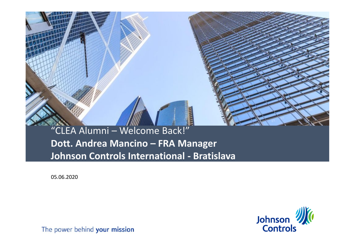# "CLEA Alumni – Welcome Back!" **Dott. Andrea Mancino – FRA Manager Johnson Controls International - Bratislava**

05.06.2020

**If you can read the first CLICK ON THE ICONTENT**  $H$ **picture** or **Reset the slide**. To Reset: Right click on the slide thumbnail and select 'reset slide' or choose the 'Reset' button on the 'Home' ribbon (next to the font choice box



If you can read this **Click on the iconal contract on the iconal contract on the icon to choose a picture** of  $\mathcal{P}$ **Reset the slide**. The Right clients of the Right clients of the Right clients. slide thumbnail and select 'reset slidet slidet slidet slidet slidet slidet slidet slidet slidet slidet slidet slidet slidet slidet slidet 'Reset' button on the 'Home' ribbon (next to the following the following the following the following the following the following the following the following the following the following the following the following the following the following the follow  $\sim$   $\sim$ 

The power behind your mission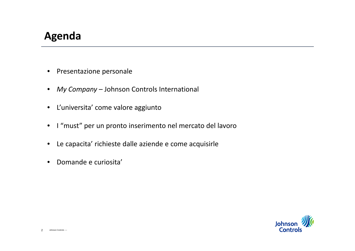# **Agenda**

- Presentazione personale
- *My Company* Johnson Controls International
- L'universita' come valore aggiunto
- I "must" per un pronto inserimento nel mercato del lavoro
- Le capacita' richieste dalle aziende e come acquisirle
- Domande e curiosita'

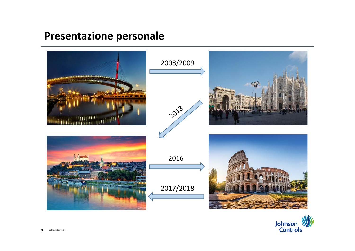# **Presentazione personale**



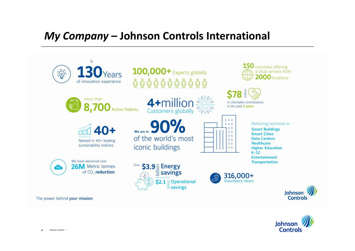## *My Company* **– Johnson Controls International**



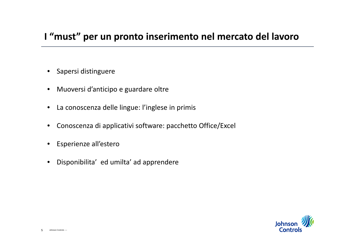#### **I "must" per un pronto inserimento nel mercato del lavoro**

- Sapersi distinguere
- Muoversi d'anticipo e guardare oltre
- La conoscenza delle lingue: l'inglese in primis
- Conoscenza di applicativi software: pacchetto Office/Excel
- Esperienze all'estero
- Disponibilita' ed umilta' ad apprendere